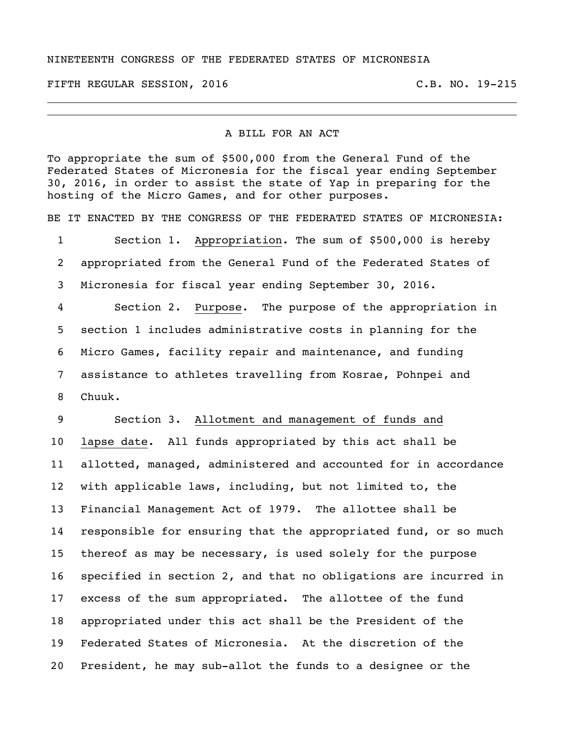## NINETEENTH CONGRESS OF THE FEDERATED STATES OF MICRONESIA

FIFTH REGULAR SESSION, 2016 C.B. NO. 19-215

## A BILL FOR AN ACT

To appropriate the sum of \$500,000 from the General Fund of the Federated States of Micronesia for the fiscal year ending September 30, 2016, in order to assist the state of Yap in preparing for the hosting of the Micro Games, and for other purposes.

BE IT ENACTED BY THE CONGRESS OF THE FEDERATED STATES OF MICRONESIA:

 Section 1. Appropriation. The sum of \$500,000 is hereby appropriated from the General Fund of the Federated States of Micronesia for fiscal year ending September 30, 2016.

 Section 2. Purpose. The purpose of the appropriation in section 1 includes administrative costs in planning for the Micro Games, facility repair and maintenance, and funding assistance to athletes travelling from Kosrae, Pohnpei and Chuuk.

## Section 3. Allotment and management of funds and

 lapse date. All funds appropriated by this act shall be allotted, managed, administered and accounted for in accordance with applicable laws, including, but not limited to, the Financial Management Act of 1979. The allottee shall be responsible for ensuring that the appropriated fund, or so much thereof as may be necessary, is used solely for the purpose specified in section 2, and that no obligations are incurred in excess of the sum appropriated. The allottee of the fund appropriated under this act shall be the President of the Federated States of Micronesia. At the discretion of the President, he may sub-allot the funds to a designee or the